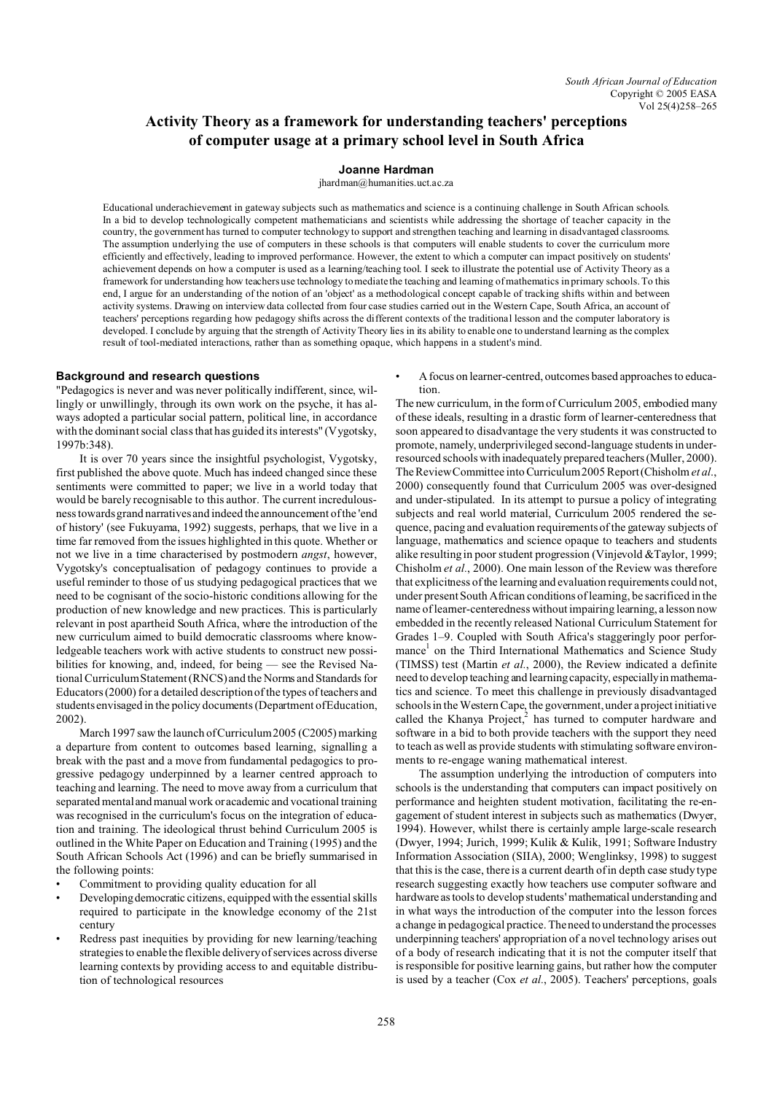# **Activity Theory as a framework for understanding teachers' perceptions of computer usage at a primary school level in South Africa**

# **Joanne Hardman**

ihardman@humanities.uct.ac.za

Educational underachievement in gateway subjects such as mathematics and science is a continuing challenge in South African schools. In a bid to develop technologically competent mathematicians and scientists while addressing the shortage of teacher capacity in the country, the government has turned to computer technology to support and strengthen teaching and learning in disadvantaged classrooms. The assumption underlying the use of computers in these schools is that computers will enable students to cover the curriculum more efficiently and effectively, leading to improved performance. However, the extent to which a computer can impact positively on students' achievement depends on how a computer is used as a learning/teaching tool. I seek to illustrate the potential use of Activity Theory as a framework for understanding how teachers use technology to mediate the teaching and learning of mathematics in primary schools. To this end, I argue for an understanding of the notion of an 'object' as a methodological concept capable of tracking shifts within and between activity systems. Drawing on interview data collected from four case studies carried out in the Western Cape, South Africa, an account of teachers' perceptions regarding how pedagogy shifts across the different contexts of the traditional lesson and the computer laboratory is developed. I conclude by arguing that the strength of Activity Theory lies in its ability to enable one to understand learning as the complex result of tool-mediated interactions, rather than as something opaque, which happens in a student's mind.

# **Background and research questions**

"Pedagogics is never and was never politically indifferent, since, willingly or unwillingly, through its own work on the psyche, it has always adopted a particular social pattern, political line, in accordance with the dominant social class that has guided its interests" (Vygotsky, 1997b:348).

It is over 70 years since the insightful psychologist, Vygotsky, first published the above quote. Much has indeed changed since these sentiments were committed to paper; we live in a world today that would be barely recognisable to this author. The current incredulousness towards grand narratives and indeed the announcement of the 'end of history' (see Fukuyama, 1992) suggests, perhaps, that we live in a time far removed from the issues highlighted in this quote. Whether or not we live in a time characterised by postmodern *angst*, however, Vygotsky's conceptualisation of pedagogy continues to provide a useful reminder to those of us studying pedagogical practices that we need to be cognisant of the socio-historic conditions allowing for the production of new knowledge and new practices. This is particularly relevant in post apartheid South Africa, where the introduction of the new curriculum aimed to build democratic classrooms where knowledgeable teachers work with active students to construct new possibilities for knowing, and, indeed, for being — see the Revised National Curriculum Statement (RNCS) and the Norms and Standards for Educators (2000) for a detailed description of the types of teachers and students envisaged in the policy documents (Department of Education, 2002).

March 1997 saw the launch of Curriculum 2005 (C2005) marking a departure from content to outcomes based learning, signalling a break with the past and a move from fundamental pedagogics to progressive pedagogy underpinned by a learner centred approach to teaching and learning. The need to move away from a curriculum that separated mental and manual work or academic and vocational training was recognised in the curriculum's focus on the integration of education and training. The ideological thrust behind Curriculum 2005 is outlined in the White Paper on Education and Training (1995) and the South African Schools Act (1996) and can be briefly summarised in the following points:

- Commitment to providing quality education for all
- Developingdemocratic citizens, equipped with the essential skills required to participate in the knowledge economy of the 21st century
- Redress past inequities by providing for new learning/teaching strategies to enable the flexible delivery of services across diverse learning contexts by providing access to and equitable distribution of technological resources

• A focus on learner-centred, outcomes based approaches to education.

The new curriculum, in the form of Curriculum 2005, embodied many of these ideals, resulting in a drastic form of learner-centeredness that soon appeared to disadvantage the very students it was constructed to promote, namely, underprivileged second-language students in underresourced schools with inadequately prepared teachers (Muller, 2000). The Review Committee into Curriculum 2005 Report (Chisholm *et al*., 2000) consequently found that Curriculum 2005 was over-designed and under-stipulated. In its attempt to pursue a policy of integrating subjects and real world material, Curriculum 2005 rendered the sequence, pacing and evaluation requirements of the gateway subjects of language, mathematics and science opaque to teachers and students alike resulting in poor student progression (Vinjevold &Taylor, 1999; Chisholm *et al.*, 2000). One main lesson of the Review was therefore that explicitness of the learning and evaluation requirements could not, under present South African conditions of learning, be sacrificed in the name of learner-centeredness without impairing learning, a lesson now embedded in the recently released National Curriculum Statement for Grades 1–9. Coupled with South Africa's staggeringly poor performance<sup>1</sup> on the Third International Mathematics and Science Study (TIMSS) test (Martin *et al.*, 2000), the Review indicated a definite need to develop teaching and learning capacity, especiallyin mathematics and science. To meet this challenge in previously disadvantaged schools in the Western Cape, the government, under a project initiative called the Khanya Project,<sup>2</sup> has turned to computer hardware and software in a bid to both provide teachers with the support they need to teach as well as provide students with stimulating software environments to re-engage waning mathematical interest.

The assumption underlying the introduction of computers into schools is the understanding that computers can impact positively on performance and heighten student motivation, facilitating the re-engagement of student interest in subjects such as mathematics (Dwyer, 1994). However, whilst there is certainly ample large-scale research (Dwyer, 1994; Jurich, 1999; Kulik & Kulik, 1991; Software Industry Information Association (SIIA), 2000; Wenglinksy, 1998) to suggest that this is the case, there is a current dearth of in depth case study type research suggesting exactly how teachers use computer software and hardware as tools to develop students' mathematical understanding and in what ways the introduction of the computer into the lesson forces a change in pedagogical practice. The need to understand the processes underpinning teachers' appropriation of a novel technology arises out of a body of research indicating that it is not the computer itself that is responsible for positive learning gains, but rather how the computer is used by a teacher (Cox *et al.*, 2005). Teachers' perceptions, goals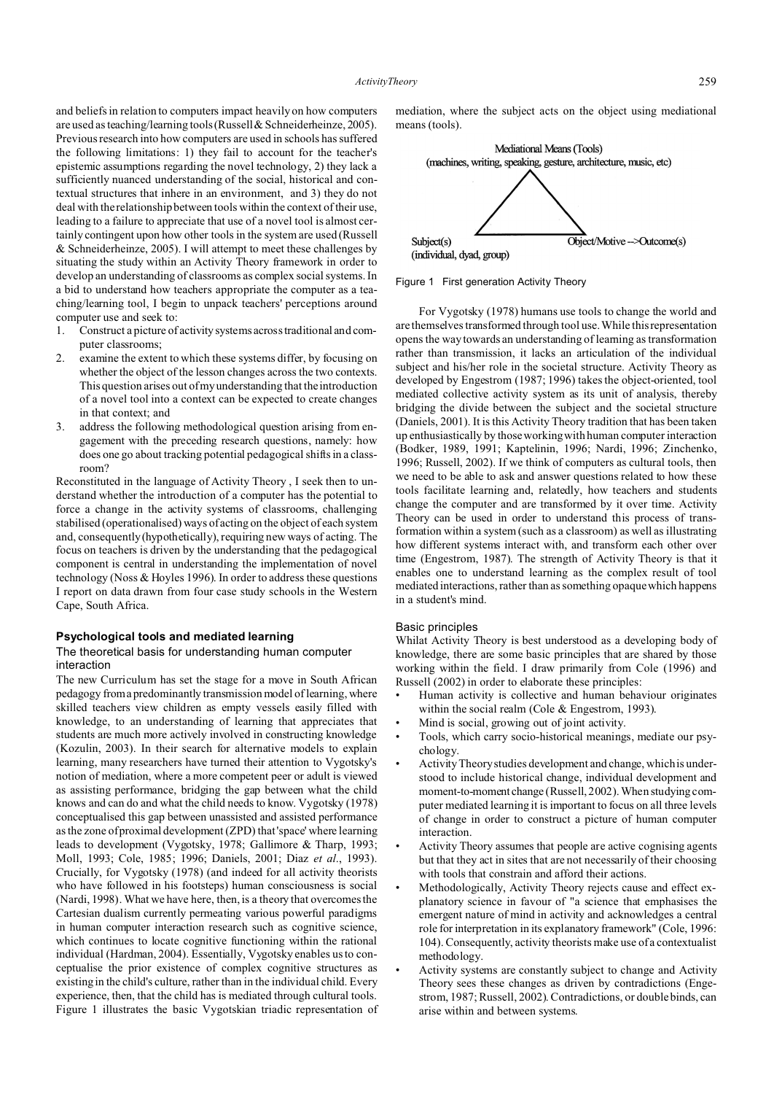and beliefs in relation to computers impact heavily on how computers are used as teaching/learning tools (Russell & Schneiderheinze, 2005). Previous research into how computers are used in schools has suffered the following limitations: 1) they fail to account for the teacher's epistemic assumptions regarding the novel technology, 2) they lack a sufficiently nuanced understanding of the social, historical and contextual structures that inhere in an environment, and 3) they do not deal with the relationship between tools within the context of their use, leading to a failure to appreciate that use of a novel tool is almost certainly contingent upon how other tools in the system are used (Russell & Schneiderheinze, 2005). I will attempt to meet these challenges by situating the study within an Activity Theory framework in order to develop an understanding of classrooms as complex social systems. In a bid to understand how teachers appropriate the computer as a teaching/learning tool, I begin to unpack teachers' perceptions around computer use and seek to:

- 1. Construct a picture of activity systems across traditional and computer classrooms;
- 2. examine the extent to which these systems differ, by focusing on whether the object of the lesson changes across the two contexts. This question arises out of my understanding that the introduction of a novel tool into a context can be expected to create changes in that context; and
- 3. address the following methodological question arising from engagement with the preceding research questions, namely: how does one go about tracking potential pedagogical shifts in a classroom?

Reconstituted in the language of Activity Theory , I seek then to understand whether the introduction of a computer has the potential to force a change in the activity systems of classrooms, challenging stabilised (operationalised) ways of acting on the object of each system and, consequently (hypothetically), requiring new ways of acting. The focus on teachers is driven by the understanding that the pedagogical component is central in understanding the implementation of novel technology (Noss & Hoyles 1996). In order to address these questions I report on data drawn from four case study schools in the Western Cape, South Africa.

### **Psychological tools and mediated learning**

# The theoretical basis for understanding human computer interaction

The new Curriculum has set the stage for a move in South African pedagogy froma predominantly transmission model of learning, where skilled teachers view children as empty vessels easily filled with knowledge, to an understanding of learning that appreciates that students are much more actively involved in constructing knowledge (Kozulin, 2003). In their search for alternative models to explain learning, many researchers have turned their attention to Vygotsky's notion of mediation, where a more competent peer or adult is viewed as assisting performance, bridging the gap between what the child knows and can do and what the child needs to know. Vygotsky (1978) conceptualised this gap between unassisted and assisted performance as the zone of proximal development (ZPD) that 'space' where learning leads to development (Vygotsky, 1978; Gallimore & Tharp, 1993; Moll, 1993; Cole, 1985; 1996; Daniels, 2001; Diaz *et al*., 1993). Crucially, for Vygotsky (1978) (and indeed for all activity theorists who have followed in his footsteps) human consciousness is social (Nardi, 1998). What we have here, then, is a theory that overcomes the Cartesian dualism currently permeating various powerful paradigms in human computer interaction research such as cognitive science, which continues to locate cognitive functioning within the rational individual (Hardman, 2004). Essentially, Vygotsky enables us to conceptualise the prior existence of complex cognitive structures as existing in the child's culture, rather than in the individual child. Every experience, then, that the child has is mediated through cultural tools. Figure 1 illustrates the basic Vygotskian triadic representation of mediation, where the subject acts on the object using mediational means (tools).



Figure 1 First generation Activity Theory

For Vygotsky (1978) humans use tools to change the world and are themselves transformed through tool use. While this representation opens the way towards an understanding of learning as transformation rather than transmission, it lacks an articulation of the individual subject and his/her role in the societal structure. Activity Theory as developed by Engestrom (1987; 1996) takes the object-oriented, tool mediated collective activity system as its unit of analysis, thereby bridging the divide between the subject and the societal structure (Daniels, 2001). It is this Activity Theory tradition that has been taken up enthusiastically by those working with human computer interaction (Bodker, 1989, 1991; Kaptelinin, 1996; Nardi, 1996; Zinchenko, 1996; Russell, 2002). If we think of computers as cultural tools, then we need to be able to ask and answer questions related to how these tools facilitate learning and, relatedly, how teachers and students change the computer and are transformed by it over time. Activity Theory can be used in order to understand this process of transformation within a system (such as a classroom) as well as illustrating how different systems interact with, and transform each other over time (Engestrom, 1987). The strength of Activity Theory is that it enables one to understand learning as the complex result of tool mediated interactions, rather than as something opaque which happens in a student's mind.

# Basic principles

Whilat Activity Theory is best understood as a developing body of knowledge, there are some basic principles that are shared by those working within the field. I draw primarily from Cole (1996) and Russell (2002) in order to elaborate these principles:

- Human activity is collective and human behaviour originates within the social realm (Cole & Engestrom, 1993).
- Mind is social, growing out of joint activity.
- Tools, which carry socio-historical meanings, mediate our psychology.
- Activity Theory studies development and change, which is understood to include historical change, individual development and moment-to-moment change (Russell, 2002). When studying computer mediated learning it is important to focus on all three levels of change in order to construct a picture of human computer interaction.
- Activity Theory assumes that people are active cognising agents but that they act in sites that are not necessarily of their choosing with tools that constrain and afford their actions.
- Methodologically, Activity Theory rejects cause and effect explanatory science in favour of "a science that emphasises the emergent nature of mind in activity and acknowledges a central role for interpretation in its explanatory framework" (Cole, 1996: 104). Consequently, activity theorists make use of a contextualist methodology.
- Activity systems are constantly subject to change and Activity Theory sees these changes as driven by contradictions (Engestrom, 1987; Russell, 2002). Contradictions, or double binds, can arise within and between systems.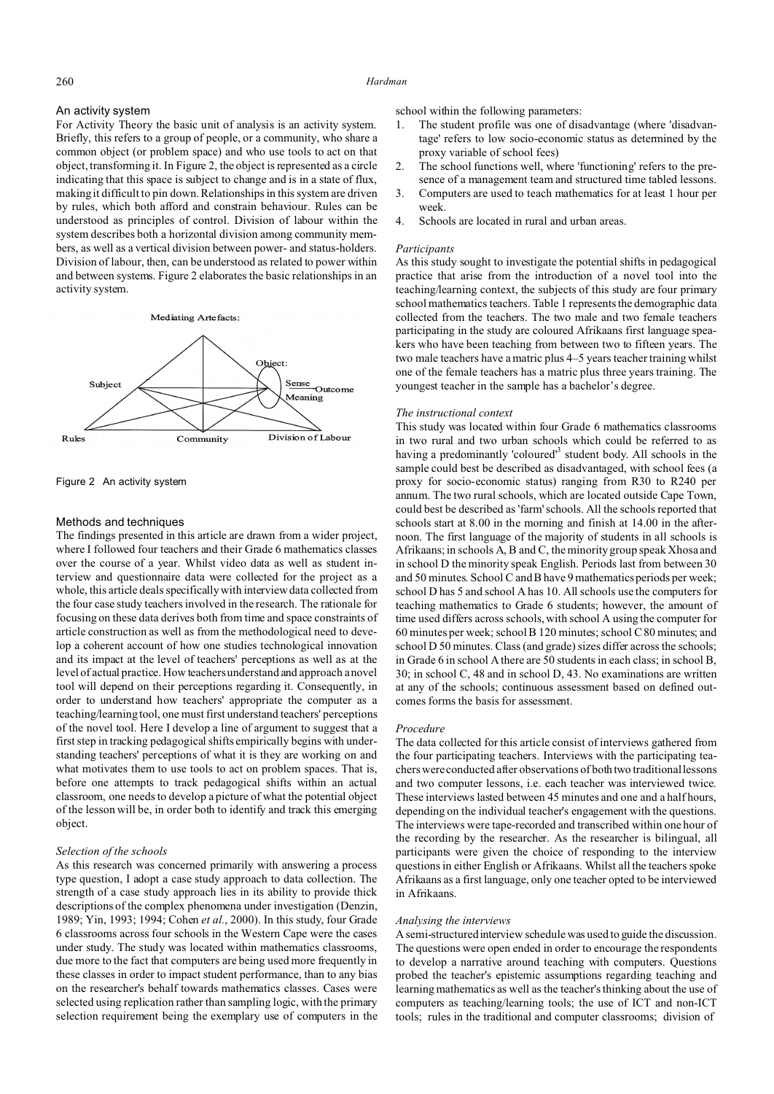# 260 *Hardman*

# An activity system

For Activity Theory the basic unit of analysis is an activity system. Briefly, this refers to a group of people, or a community, who share a common object (or problem space) and who use tools to act on that object, transforming it. In Figure 2, the object is represented as a circle indicating that this space is subject to change and is in a state of flux, making it difficult to pin down. Relationships in this system are driven by rules, which both afford and constrain behaviour. Rules can be understood as principles of control. Division of labour within the system describes both a horizontal division among community members, as well as a vertical division between power- and status-holders. Division of labour, then, can be understood as related to power within and between systems. Figure 2 elaborates the basic relationships in an activity system.



Figure 2 An activity system

# Methods and techniques

The findings presented in this article are drawn from a wider project, where I followed four teachers and their Grade 6 mathematics classes over the course of a year. Whilst video data as well as student interview and questionnaire data were collected for the project as a whole, this article deals specifically with interview data collected from the four case study teachers involved in the research. The rationale for focusing on these data derives both from time and space constraints of article construction as well as from the methodological need to develop a coherent account of how one studies technological innovation and its impact at the level of teachers' perceptions as well as at the level of actual practice. How teachers understand and approach a novel tool will depend on their perceptions regarding it. Consequently, in order to understand how teachers' appropriate the computer as a teaching/learning tool, one must first understand teachers' perceptions of the novel tool. Here I develop a line of argument to suggest that a first step in tracking pedagogical shifts empirically begins with understanding teachers' perceptions of what it is they are working on and what motivates them to use tools to act on problem spaces. That is, before one attempts to track pedagogical shifts within an actual classroom, one needs to develop a picture of what the potential object of the lesson will be, in order both to identify and track this emerging object.

# *Selection of the schools*

As this research was concerned primarily with answering a process type question, I adopt a case study approach to data collection. The strength of a case study approach lies in its ability to provide thick descriptions of the complex phenomena under investigation (Denzin, 1989; Yin, 1993; 1994; Cohen *et al.*, 2000). In this study, four Grade 6 classrooms across four schools in the Western Cape were the cases under study. The study was located within mathematics classrooms, due more to the fact that computers are being used more frequently in these classes in order to impact student performance, than to any bias on the researcher's behalf towards mathematics classes. Cases were selected using replication rather than sampling logic, with the primary selection requirement being the exemplary use of computers in the

school within the following parameters:

- 1. The student profile was one of disadvantage (where 'disadvantage' refers to low socio-economic status as determined by the proxy variable of school fees)
- 2. The school functions well, where 'functioning' refers to the presence of a management team and structured time tabled lessons.
- 3. Computers are used to teach mathematics for at least 1 hour per week.
- 4. Schools are located in rural and urban areas.

# *Participants*

As this study sought to investigate the potential shifts in pedagogical practice that arise from the introduction of a novel tool into the teaching/learning context, the subjects of this study are four primary school mathematics teachers. Table 1 represents the demographic data collected from the teachers. The two male and two female teachers participating in the study are coloured Afrikaans first language speakers who have been teaching from between two to fifteen years. The two male teachers have a matric plus 4–5 years teacher training whilst one of the female teachers has a matric plus three years training. The youngest teacher in the sample has a bachelor's degree.

#### *The instructional context*

This study was located within four Grade 6 mathematics classrooms in two rural and two urban schools which could be referred to as having a predominantly 'coloured<sup>13</sup> student body. All schools in the sample could best be described as disadvantaged, with school fees (a proxy for socio-economic status) ranging from R30 to R240 per annum. The two rural schools, which are located outside Cape Town, could best be described as 'farm' schools. All the schools reported that schools start at 8.00 in the morning and finish at 14.00 in the afternoon. The first language of the majority of students in all schools is Afrikaans; in schools A, B and C, the minority group speak Xhosa and in school D the minority speak English. Periods last from between 30 and 50 minutes. School C and B have 9 mathematics periods per week; school D has 5 and school A has 10. All schools use the computers for teaching mathematics to Grade 6 students; however, the amount of time used differs across schools, with school A using the computer for 60 minutes per week; school B 120 minutes; school C 80 minutes; and school D 50 minutes. Class (and grade) sizes differ across the schools; in Grade 6 in school A there are 50 students in each class; in school B, 30; in school C, 48 and in school D, 43. No examinations are written at any of the schools; continuous assessment based on defined outcomes forms the basis for assessment.

# *Procedure*

The data collected for this article consist of interviews gathered from the four participating teachers. Interviews with the participating teachers were conducted after observations of both two traditional lessons and two computer lessons, i.e. each teacher was interviewed twice. These interviews lasted between 45 minutes and one and a half hours, depending on the individual teacher's engagement with the questions. The interviews were tape-recorded and transcribed within one hour of the recording by the researcher. As the researcher is bilingual, all participants were given the choice of responding to the interview questions in either English or Afrikaans. Whilst all the teachers spoke Afrikaans as a first language, only one teacher opted to be interviewed in Afrikaans.

#### *Analysing the interviews*

A semi-structured interview schedule was used to guide the discussion. The questions were open ended in order to encourage the respondents to develop a narrative around teaching with computers. Questions probed the teacher's epistemic assumptions regarding teaching and learning mathematics as well as the teacher's thinking about the use of computers as teaching/learning tools; the use of ICT and non-ICT tools; rules in the traditional and computer classrooms; division of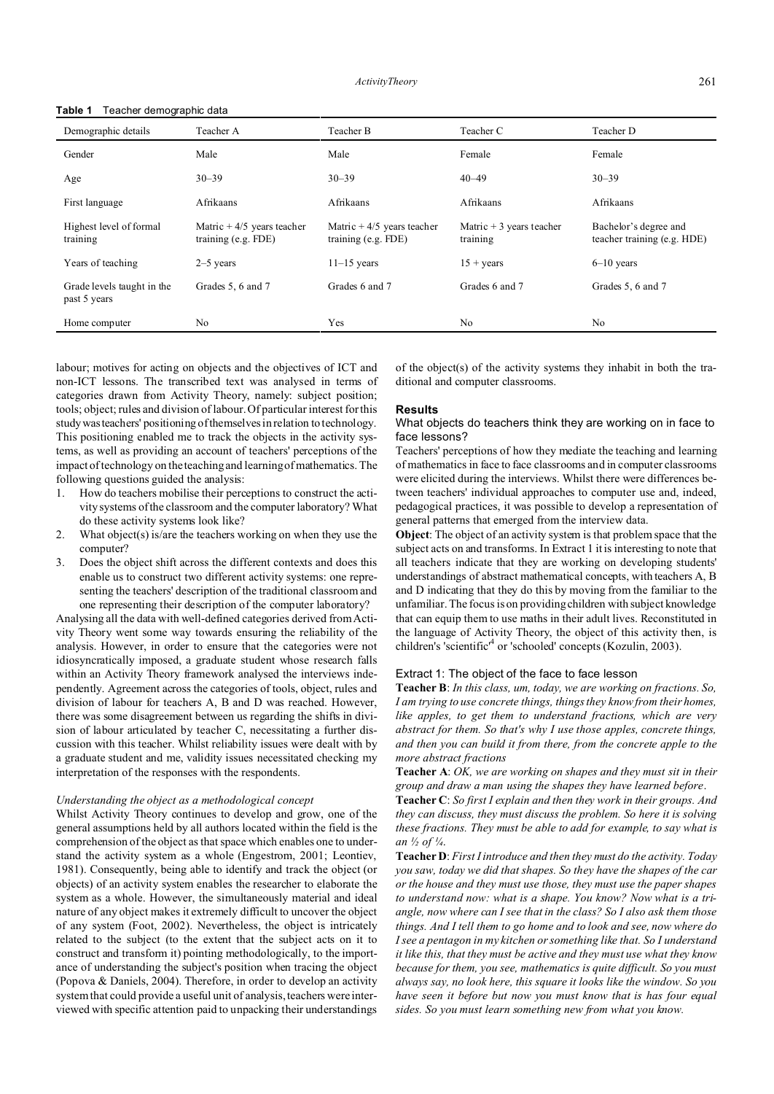| Demographic details                        | Teacher A                                            | Teacher B                                            | Teacher C                             | Teacher D                                            |
|--------------------------------------------|------------------------------------------------------|------------------------------------------------------|---------------------------------------|------------------------------------------------------|
| Gender                                     | Male                                                 | Male                                                 | Female                                | Female                                               |
| Age                                        | $30 - 39$                                            | $30 - 39$                                            | $40 - 49$                             | $30 - 39$                                            |
| First language                             | <b>Afrikaans</b>                                     | <b>Afrikaans</b>                                     | Afrikaans                             | Afrikaans                                            |
| Highest level of formal<br>training        | Matric $+4/5$ years teacher<br>training $(e.g. FDE)$ | Matric $+4/5$ years teacher<br>training $(e.g. FDE)$ | Matric $+3$ years teacher<br>training | Bachelor's degree and<br>teacher training (e.g. HDE) |
| Years of teaching                          | $2-5$ years                                          | $11-15$ years                                        | $15 + \text{years}$                   | $6-10$ years                                         |
| Grade levels taught in the<br>past 5 years | Grades 5, 6 and 7                                    | Grades 6 and 7                                       | Grades 6 and 7                        | Grades 5, 6 and 7                                    |
| Home computer                              | No                                                   | Yes                                                  | N <sub>0</sub>                        | No                                                   |

# **Table 1** Teacher demographic data

labour; motives for acting on objects and the objectives of ICT and non-ICT lessons. The transcribed text was analysed in terms of categories drawn from Activity Theory, namely: subject position; tools; object; rules and division of labour. Of particular interest for this studywasteachers' positioning of themselves in relation to technology. This positioning enabled me to track the objects in the activity systems, as well as providing an account of teachers' perceptions of the impact of technology on the teaching and learning of mathematics. The following questions guided the analysis:

- 1. How do teachers mobilise their perceptions to construct the activity systems of the classroom and the computer laboratory? What do these activity systems look like?
- 2. What object(s) is/are the teachers working on when they use the computer?
- 3. Does the object shift across the different contexts and does this enable us to construct two different activity systems: one representing the teachers' description of the traditional classroom and one representing their description of the computer laboratory?

Analysing all the data with well-defined categories derived from Activity Theory went some way towards ensuring the reliability of the analysis. However, in order to ensure that the categories were not idiosyncratically imposed, a graduate student whose research falls within an Activity Theory framework analysed the interviews independently. Agreement across the categories of tools, object, rules and division of labour for teachers A, B and D was reached. However, there was some disagreement between us regarding the shifts in division of labour articulated by teacher C, necessitating a further discussion with this teacher. Whilst reliability issues were dealt with by a graduate student and me, validity issues necessitated checking my interpretation of the responses with the respondents.

# *Understanding the object as a methodological concept*

Whilst Activity Theory continues to develop and grow, one of the general assumptions held by all authors located within the field is the comprehension of the object as that space which enables one to understand the activity system as a whole (Engestrom, 2001; Leontiev, 1981). Consequently, being able to identify and track the object (or objects) of an activity system enables the researcher to elaborate the system as a whole. However, the simultaneously material and ideal nature of any object makes it extremely difficult to uncover the object of any system (Foot, 2002). Nevertheless, the object is intricately related to the subject (to the extent that the subject acts on it to construct and transform it) pointing methodologically, to the importance of understanding the subject's position when tracing the object (Popova & Daniels, 2004). Therefore, in order to develop an activity system that could provide a useful unit of analysis, teachers were interviewed with specific attention paid to unpacking their understandings

of the object(s) of the activity systems they inhabit in both the traditional and computer classrooms.

# **Results**

# What objects do teachers think they are working on in face to face lessons?

Teachers' perceptions of how they mediate the teaching and learning of mathematics in face to face classrooms and in computer classrooms were elicited during the interviews. Whilst there were differences between teachers' individual approaches to computer use and, indeed, pedagogical practices, it was possible to develop a representation of general patterns that emerged from the interview data.

**Object**: The object of an activity system is that problem space that the subject acts on and transforms. In Extract 1 it is interesting to note that all teachers indicate that they are working on developing students' understandings of abstract mathematical concepts, with teachers A, B and D indicating that they do this by moving from the familiar to the unfamiliar. The focus is on providing children with subject knowledge that can equip them to use maths in their adult lives. Reconstituted in the language of Activity Theory, the object of this activity then, is children's 'scientific<sup>,4</sup> or 'schooled' concepts (Kozulin, 2003).

# Extract 1: The object of the face to face lesson

**Teacher B**: *In this class, um, today, we are working on fractions. So, I am trying to use concrete things, things they know from their homes, like apples, to get them to understand fractions, which are very abstract for them. So that's why I use those apples, concrete things, and then you can build it from there, from the concrete apple to the more abstract fractions*

**Teacher A**: *OK, we are working on shapes and they must sit in their group and draw a man using the shapes they have learned before*.

**Teacher C**: *So first I explain and then they work in their groups. And they can discuss, they must discuss the problem. So here it is solving these fractions. They must be able to add for example, to say what is an ½ of ¼*.

**Teacher D**: *First I introduce and then they must do the activity. Today you saw, today we did that shapes. So they have the shapes of the car or the house and they must use those, they must use the paper shapes to understand now: what is a shape. You know? Now what is a triangle, now where can I see that in the class? So I also ask them those things. And I tell them to go home and to look and see, now where do I see a pentagon in my kitchen or something like that. So I understand it like this, that they must be active and they must use what they know because for them, you see, mathematics is quite difficult. So you must always say, no look here, this square it looks like the window. So you have seen it before but now you must know that is has four equal sides. So you must learn something new from what you know.*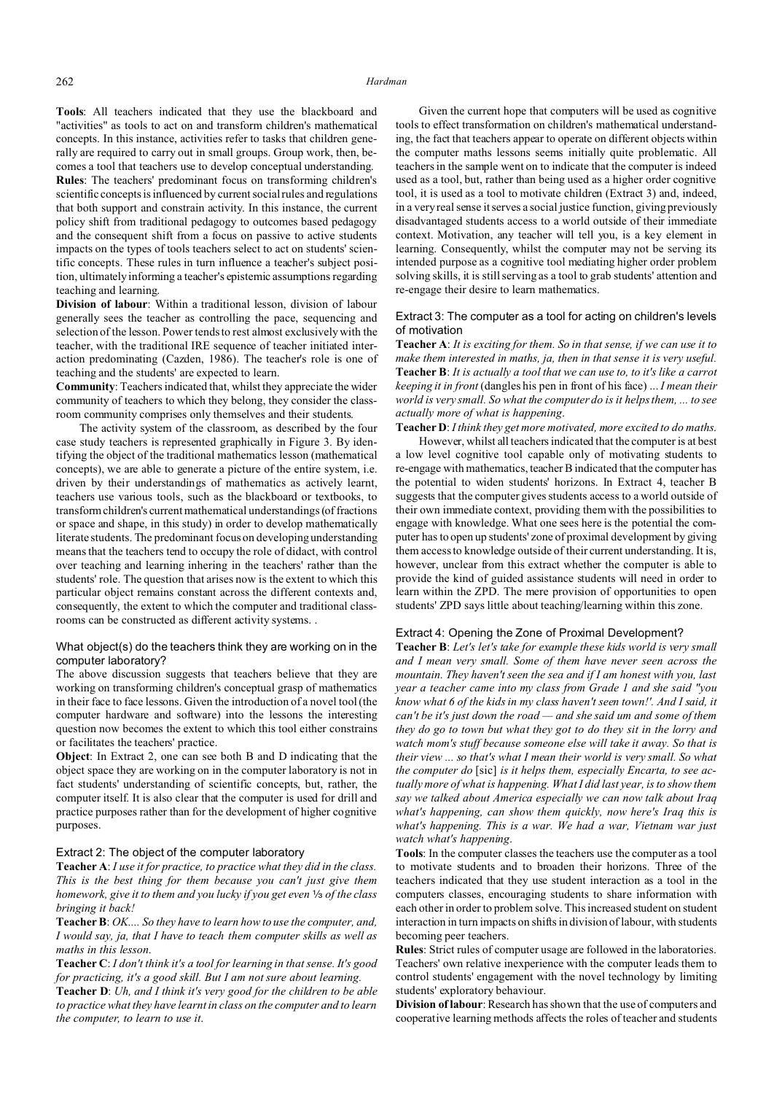**Tools**: All teachers indicated that they use the blackboard and "activities" as tools to act on and transform children's mathematical concepts. In this instance, activities refer to tasks that children generally are required to carry out in small groups. Group work, then, becomes a tool that teachers use to develop conceptual understanding. **Rules**: The teachers' predominant focus on transforming children's scientific concepts is influenced by current social rules and regulations that both support and constrain activity. In this instance, the current policy shift from traditional pedagogy to outcomes based pedagogy and the consequent shift from a focus on passive to active students impacts on the types of tools teachers select to act on students' scientific concepts. These rules in turn influence a teacher's subject position, ultimately informing a teacher's epistemic assumptions regarding teaching and learning.

**Division of labour**: Within a traditional lesson, division of labour generally sees the teacher as controlling the pace, sequencing and selection of the lesson. Power tends to rest almost exclusively with the teacher, with the traditional IRE sequence of teacher initiated interaction predominating (Cazden, 1986). The teacher's role is one of teaching and the students' are expected to learn.

**Community**: Teachers indicated that, whilst they appreciate the wider community of teachers to which they belong, they consider the classroom community comprises only themselves and their students.

The activity system of the classroom, as described by the four case study teachers is represented graphically in Figure 3. By identifying the object of the traditional mathematics lesson (mathematical concepts), we are able to generate a picture of the entire system, i.e. driven by their understandings of mathematics as actively learnt, teachers use various tools, such as the blackboard or textbooks, to transform children's current mathematical understandings (of fractions or space and shape, in this study) in order to develop mathematically literate students. The predominant focus on developing understanding means that the teachers tend to occupy the role of didact, with control over teaching and learning inhering in the teachers' rather than the students' role. The question that arises now is the extent to which this particular object remains constant across the different contexts and, consequently, the extent to which the computer and traditional classrooms can be constructed as different activity systems. .

# What object(s) do the teachers think they are working on in the computer laboratory?

The above discussion suggests that teachers believe that they are working on transforming children's conceptual grasp of mathematics in their face to face lessons. Given the introduction of a novel tool (the computer hardware and software) into the lessons the interesting question now becomes the extent to which this tool either constrains or facilitates the teachers' practice.

**Object**: In Extract 2, one can see both B and D indicating that the object space they are working on in the computer laboratory is not in fact students' understanding of scientific concepts, but, rather, the computer itself. It is also clear that the computer is used for drill and practice purposes rather than for the development of higher cognitive purposes.

# Extract 2: The object of the computer laboratory

**Teacher A**: *I use it for practice, to practice what they did in the class. This is the best thing for them because you can't just give them homework, give it to them and you lucky if you get even*  $\frac{1}{3}$  of the class *bringing it back!*

**Teacher B**: *OK.... So they have to learn how to use the computer, and, I would say, ja, that I have to teach them computer skills as well as maths in this lesson*.

**Teacher C**: *I don't think it's a tool for learning in that sense. It's good for practicing, it's a good skill. But I am not sure about learning.* 

**Teacher D**: *Uh, and I think it's very good for the children to be able to practice what they have learnt in class on the computer and to learn the computer, to learn to use it*.

Given the current hope that computers will be used as cognitive tools to effect transformation on children's mathematical understanding, the fact that teachers appear to operate on different objects within the computer maths lessons seems initially quite problematic. All teachers in the sample went on to indicate that the computer is indeed used as a tool, but, rather than being used as a higher order cognitive tool, it is used as a tool to motivate children (Extract 3) and, indeed, in a very real sense it serves a social justice function, giving previously disadvantaged students access to a world outside of their immediate context. Motivation, any teacher will tell you, is a key element in learning. Consequently, whilst the computer may not be serving its intended purpose as a cognitive tool mediating higher order problem solving skills, it is still serving as a tool to grab students' attention and re-engage their desire to learn mathematics.

# Extract 3: The computer as a tool for acting on children's levels of motivation

**Teacher A**: *It is exciting for them. So in that sense, if we can use it to make them interested in maths, ja, then in that sense it is very useful.* **Teacher B**: *It is actually a tool that we can use to, to it's like a carrot keeping it in front* (dangles his pen in front of his face) ... *I mean their world is very small. So what the computer do is it helps them, ... to see actually more of what is happening*.

**Teacher D**: *I think they get more motivated, more excited to do maths*.

However, whilst all teachers indicated that the computer is at best a low level cognitive tool capable only of motivating students to re-engage with mathematics, teacher B indicated that the computer has the potential to widen students' horizons. In Extract 4, teacher B suggests that the computer gives students access to a world outside of their own immediate context, providing them with the possibilities to engage with knowledge. What one sees here is the potential the computer has to open up students' zone of proximal development by giving them access to knowledge outside of their current understanding. It is, however, unclear from this extract whether the computer is able to provide the kind of guided assistance students will need in order to learn within the ZPD. The mere provision of opportunities to open students' ZPD says little about teaching/learning within this zone.

### Extract 4: Opening the Zone of Proximal Development?

**Teacher B**: *Let's let's take for example these kids world is very small and I mean very small. Some of them have never seen across the mountain. They haven't seen the sea and if I am honest with you, last year a teacher came into my class from Grade 1 and she said "you know what 6 of the kids in my class haven't seen town!'. And I said, it can't be it's just down the road — and she said um and some of them they do go to town but what they got to do they sit in the lorry and watch mom's stuff because someone else will take it away. So that is their view ... so that's what I mean their world is very small. So what the computer do* [sic] *is it helps them, especially Encarta, to see actually more of what is happening. What I did last year, is to show them say we talked about America especially we can now talk about Iraq what's happening, can show them quickly, now here's Iraq this is what's happening. This is a war. We had a war, Vietnam war just watch what's happening*.

**Tools**: In the computer classes the teachers use the computer as a tool to motivate students and to broaden their horizons. Three of the teachers indicated that they use student interaction as a tool in the computers classes, encouraging students to share information with each other in order to problem solve. This increased student on student interaction in turn impacts on shifts in division of labour, with students becoming peer teachers.

**Rules**: Strict rules of computer usage are followed in the laboratories. Teachers' own relative inexperience with the computer leads them to control students' engagement with the novel technology by limiting students' exploratory behaviour.

**Division of labour**: Research has shown that the use of computers and cooperative learning methods affects the roles of teacher and students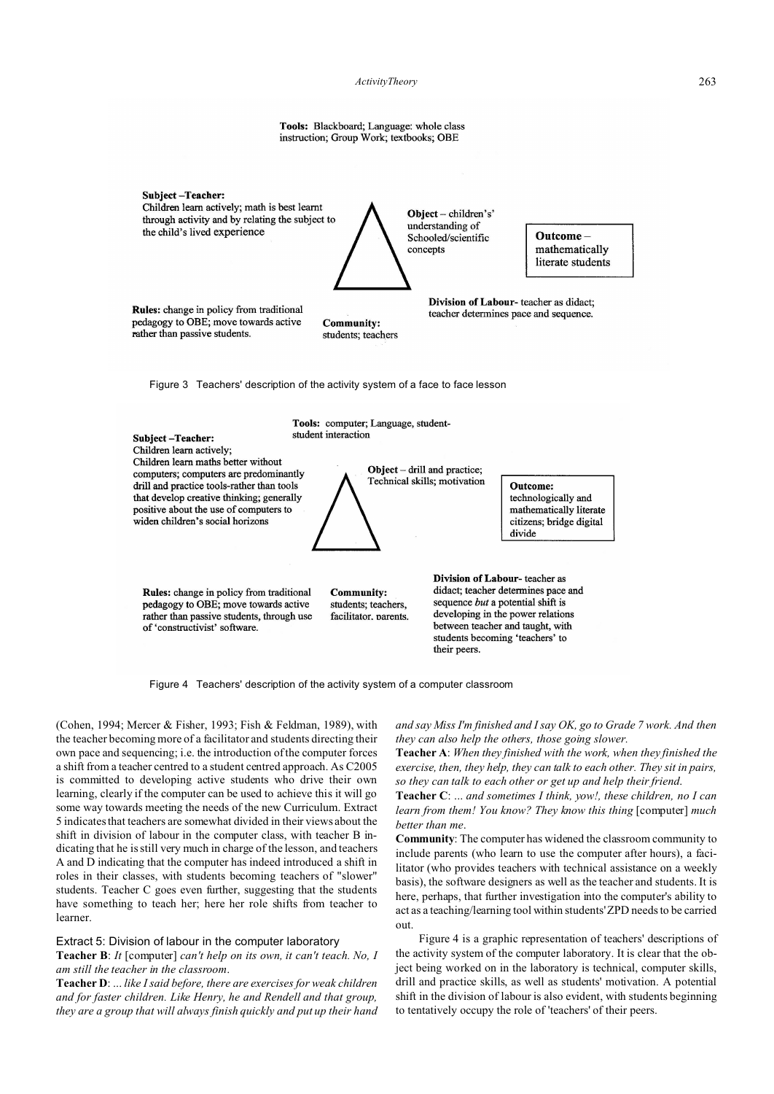*ActivityTheory* 263

Tools: Blackboard; Language: whole class instruction; Group Work; textbooks; OBE

Subject-Teacher: Children learn actively; math is best learnt through activity and by relating the subject to the child's lived experience



Outcomemathematically literate students

Division of Labour-teacher as didact;

teacher determines pace and sequence.

Rules: change in policy from traditional pedagogy to OBE; move towards active rather than passive students.

**Community:** students; teachers

Figure 3 Teachers' description of the activity system of a face to face lesson



Figure 4 Teachers' description of the activity system of a computer classroom

(Cohen, 1994; Mercer & Fisher, 1993; Fish & Feldman, 1989), with the teacher becoming more of a facilitator and students directing their own pace and sequencing; i.e. the introduction of the computer forces a shift from a teacher centred to a student centred approach. As C2005 is committed to developing active students who drive their own learning, clearly if the computer can be used to achieve this it will go some way towards meeting the needs of the new Curriculum. Extract 5 indicates that teachers are somewhat divided in their views about the shift in division of labour in the computer class, with teacher B indicating that he is still very much in charge of the lesson, and teachers A and D indicating that the computer has indeed introduced a shift in roles in their classes, with students becoming teachers of "slower" students. Teacher C goes even further, suggesting that the students have something to teach her; here her role shifts from teacher to learner.

# Extract 5: Division of labour in the computer laboratory

**Teacher B**: *It* [computer] *can't help on its own, it can't teach. No, I am still the teacher in the classroom*.

**Teacher D**: ... *like I said before, there are exercises for weak children and for faster children. Like Henry, he and Rendell and that group, they are a group that will always finish quickly and put up their hand* *and say Miss I'm finished and I say OK, go to Grade 7 work. And then they can also help the others, those going slower.* 

**Teacher A**: *When they finished with the work, when they finished the exercise, then, they help, they can talk to each other. They sit in pairs, so they can talk to each other or get up and help their friend*.

**Teacher C**: ... *and sometimes I think, yow!, these children, no I can learn from them! You know? They know this thing* [computer] *much better than me*.

**Community**: The computer has widened the classroom community to include parents (who learn to use the computer after hours), a facilitator (who provides teachers with technical assistance on a weekly basis), the software designers as well as the teacher and students. It is here, perhaps, that further investigation into the computer's ability to act as a teaching/learning tool within students' ZPD needs to be carried out.

Figure 4 is a graphic representation of teachers' descriptions of the activity system of the computer laboratory. It is clear that the object being worked on in the laboratory is technical, computer skills, drill and practice skills, as well as students' motivation. A potential shift in the division of labour is also evident, with students beginning to tentatively occupy the role of 'teachers' of their peers.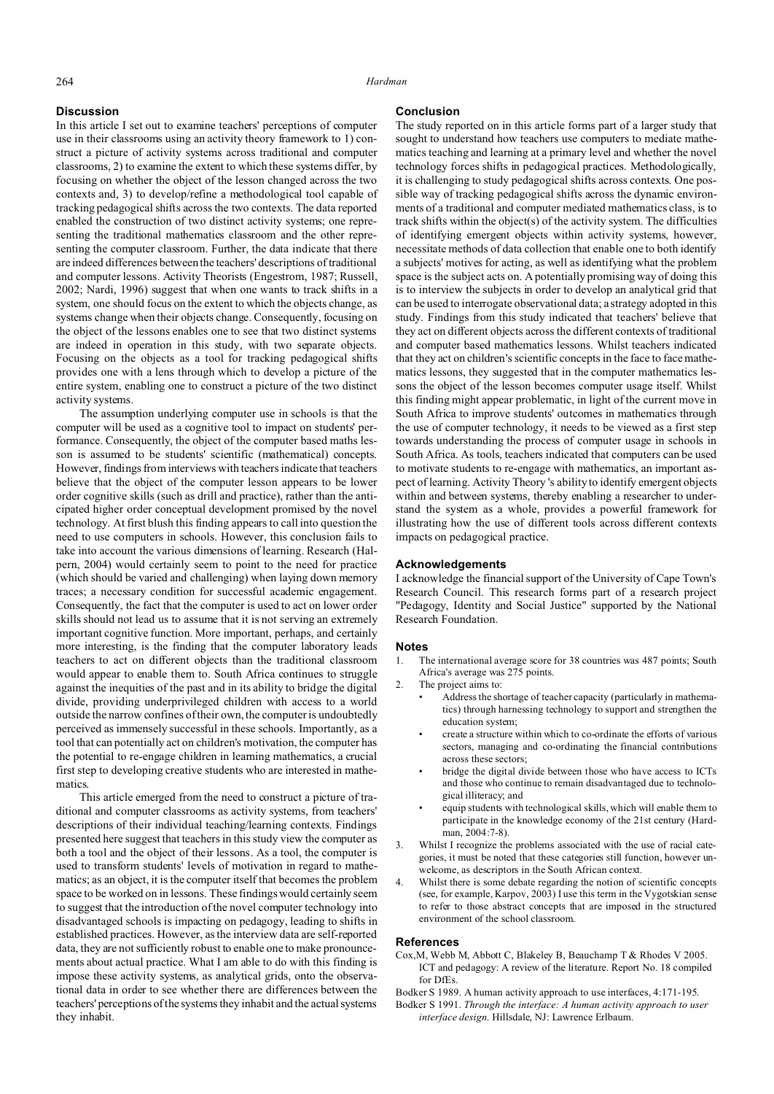# **Discussion**

In this article I set out to examine teachers' perceptions of computer use in their classrooms using an activity theory framework to 1) construct a picture of activity systems across traditional and computer classrooms, 2) to examine the extent to which these systems differ, by focusing on whether the object of the lesson changed across the two contexts and, 3) to develop/refine a methodological tool capable of tracking pedagogical shifts across the two contexts. The data reported enabled the construction of two distinct activity systems; one representing the traditional mathematics classroom and the other representing the computer classroom. Further, the data indicate that there are indeed differences between the teachers' descriptions of traditional and computer lessons. Activity Theorists (Engestrom, 1987; Russell, 2002; Nardi, 1996) suggest that when one wants to track shifts in a system, one should focus on the extent to which the objects change, as systems change when their objects change. Consequently, focusing on the object of the lessons enables one to see that two distinct systems are indeed in operation in this study, with two separate objects. Focusing on the objects as a tool for tracking pedagogical shifts provides one with a lens through which to develop a picture of the entire system, enabling one to construct a picture of the two distinct activity systems.

The assumption underlying computer use in schools is that the computer will be used as a cognitive tool to impact on students' performance. Consequently, the object of the computer based maths lesson is assumed to be students' scientific (mathematical) concepts. However, findings from interviews with teachers indicate that teachers believe that the object of the computer lesson appears to be lower order cognitive skills (such as drill and practice), rather than the anticipated higher order conceptual development promised by the novel technology. At first blush this finding appears to call into question the need to use computers in schools. However, this conclusion fails to take into account the various dimensions of learning. Research (Halpern, 2004) would certainly seem to point to the need for practice (which should be varied and challenging) when laying down memory traces; a necessary condition for successful academic engagement. Consequently, the fact that the computer is used to act on lower order skills should not lead us to assume that it is not serving an extremely important cognitive function. More important, perhaps, and certainly more interesting, is the finding that the computer laboratory leads teachers to act on different objects than the traditional classroom would appear to enable them to. South Africa continues to struggle against the inequities of the past and in its ability to bridge the digital divide, providing underprivileged children with access to a world outside the narrow confines of their own, the computer is undoubtedly perceived as immensely successful in these schools. Importantly, as a tool that can potentially act on children's motivation, the computer has the potential to re-engage children in learning mathematics, a crucial first step to developing creative students who are interested in mathematics.

This article emerged from the need to construct a picture of traditional and computer classrooms as activity systems, from teachers' descriptions of their individual teaching/learning contexts. Findings presented here suggest that teachers in this study view the computer as both a tool and the object of their lessons. As a tool, the computer is used to transform students' levels of motivation in regard to mathematics; as an object, it is the computer itself that becomes the problem space to be worked on in lessons. These findings would certainly seem to suggest that the introduction of the novel computer technology into disadvantaged schools is impacting on pedagogy, leading to shifts in established practices. However, as the interview data are self-reported data, they are not sufficiently robust to enable one to make pronouncements about actual practice. What I am able to do with this finding is impose these activity systems, as analytical grids, onto the observational data in order to see whether there are differences between the teachers' perceptions of the systems they inhabit and the actual systems they inhabit.

# **Conclusion**

The study reported on in this article forms part of a larger study that sought to understand how teachers use computers to mediate mathematics teaching and learning at a primary level and whether the novel technology forces shifts in pedagogical practices. Methodologically, it is challenging to study pedagogical shifts across contexts. One possible way of tracking pedagogical shifts across the dynamic environments of a traditional and computer mediated mathematics class, is to track shifts within the object(s) of the activity system. The difficulties of identifying emergent objects within activity systems, however, necessitate methods of data collection that enable one to both identify a subjects' motives for acting, as well as identifying what the problem space is the subject acts on. A potentially promising way of doing this is to interview the subjects in order to develop an analytical grid that can be used to interrogate observational data; a strategy adopted in this study. Findings from this study indicated that teachers' believe that they act on different objects across the different contexts of traditional and computer based mathematics lessons. Whilst teachers indicated that they act on children's scientific concepts in the face to face mathematics lessons, they suggested that in the computer mathematics lessons the object of the lesson becomes computer usage itself. Whilst this finding might appear problematic, in light of the current move in South Africa to improve students' outcomes in mathematics through the use of computer technology, it needs to be viewed as a first step towards understanding the process of computer usage in schools in South Africa. As tools, teachers indicated that computers can be used to motivate students to re-engage with mathematics, an important aspect of learning. Activity Theory 's ability to identify emergent objects within and between systems, thereby enabling a researcher to understand the system as a whole, provides a powerful framework for illustrating how the use of different tools across different contexts impacts on pedagogical practice.

# **Acknowledgements**

I acknowledge the financial support of the University of Cape Town's Research Council. This research forms part of a research project "Pedagogy, Identity and Social Justice" supported by the National Research Foundation.

# **Notes**

- The international average score for 38 countries was 487 points; South Africa's average was 275 points.
- 2. The project aims to:
	- Address the shortage of teacher capacity (particularly in mathematics) through harnessing technology to support and strengthen the education system;
	- create a structure within which to co-ordinate the efforts of various sectors, managing and co-ordinating the financial contributions across these sectors;
	- bridge the digital divide between those who have access to ICTs and those who continue to remain disadvantaged due to technological illiteracy; and
	- equip students with technological skills, which will enable them to participate in the knowledge economy of the 21st century (Hardman, 2004:7-8).
- Whilst I recognize the problems associated with the use of racial categories, it must be noted that these categories still function, however unwelcome, as descriptors in the South African context.
- Whilst there is some debate regarding the notion of scientific concepts (see, for example, Karpov, 2003) I use this term in the Vygotskian sense to refer to those abstract concepts that are imposed in the structured environment of the school classroom.

# **References**

Cox,M, Webb M, Abbott C, Blakeley B, Beauchamp T & Rhodes V 2005. ICT and pedagogy: A review of the literature. Report No. 18 compiled for DfEs.

Bodker S 1989. A human activity approach to use interfaces, 4:171-195.

Bodker S 1991. *Through the interface: A human activity approach to user interface design*. Hillsdale, NJ: Lawrence Erlbaum.